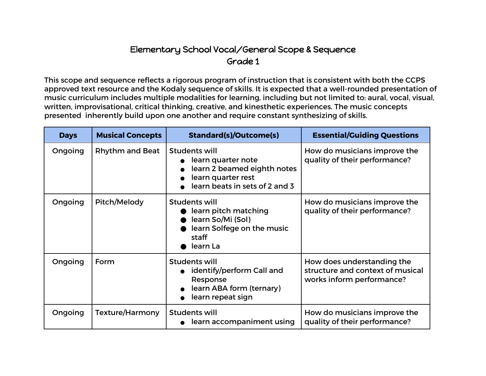## Elementary School Vocal/General Scope & Sequence Grade 1

This scope and sequence reflects a rigorous program of instruction that is consistent with both the CCPS approved text resource and the Kodaly sequence of skills. It is expected that a well-rounded presentation of music curriculum includes multiple modalities for learning, including but not limited to: aural, vocal, visual, written, improvisational, critical thinking, creative, and kinesthetic experiences. The music concepts presented inherently build upon one another and require constant synthesizing of skills.

| <b>Days</b> | <b>Musical Concepts</b> | <b>Standard(s)/Outcome(s)</b>                                                                                              | <b>Essential/Guiding Questions</b>                                                          |
|-------------|-------------------------|----------------------------------------------------------------------------------------------------------------------------|---------------------------------------------------------------------------------------------|
| Ongoing     | <b>Rhythm and Beat</b>  | Students will<br>learn quarter note<br>learn 2 beamed eighth notes<br>learn quarter rest<br>learn beats in sets of 2 and 3 | How do musicians improve the<br>quality of their performance?                               |
| Ongoing     | Pitch/Melody            | Students will<br>learn pitch matching<br>learn So/Mi (Sol)<br>learn Solfege on the music<br>staff<br>learn La              | How do musicians improve the<br>quality of their performance?                               |
| Ongoing     | Form                    | <b>Students will</b><br>identify/perform Call and<br>Response<br>learn ABA form (ternary)<br>learn repeat sign             | How does understanding the<br>structure and context of musical<br>works inform performance? |
| Ongoing     | Texture/Harmony         | <b>Students will</b><br>learn accompaniment using                                                                          | How do musicians improve the<br>quality of their performance?                               |